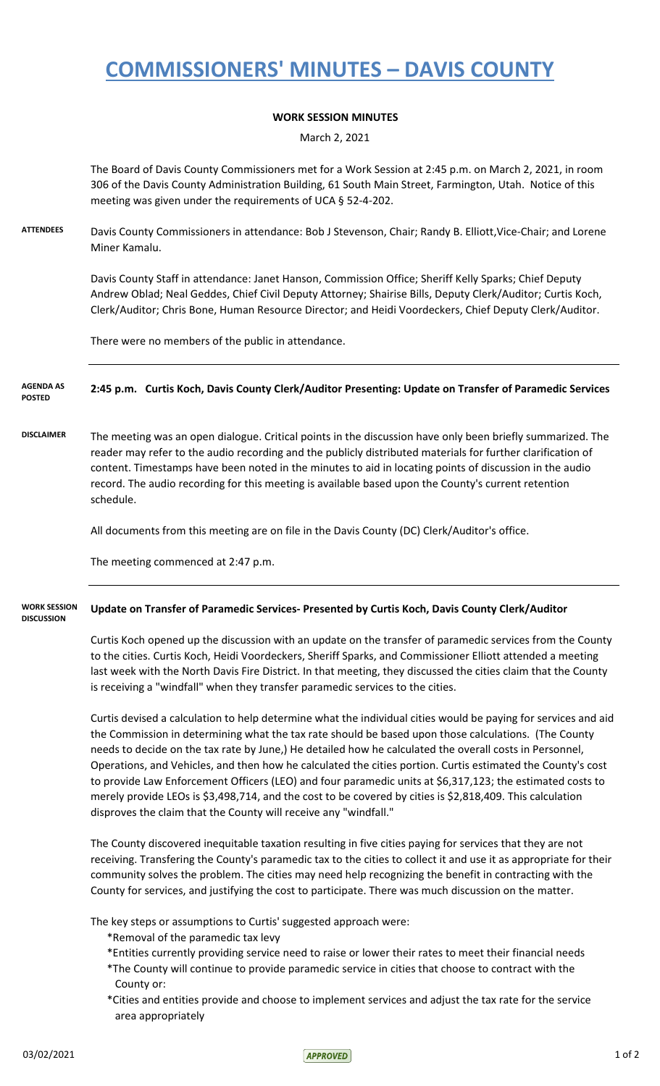## **COMMISSIONERS' MINUTES – DAVIS COUNTY**

### **WORK SESSION MINUTES**

March 2, 2021

The Board of Davis County Commissioners met for a Work Session at 2:45 p.m. on March 2, 2021, in room 306 of the Davis County Administration Building, 61 South Main Street, Farmington, Utah. Notice of this meeting was given under the requirements of UCA § 52-4-202.

**ATTENDEES** Davis County Commissioners in attendance: Bob J Stevenson, Chair; Randy B. Elliott,Vice-Chair; and Lorene Miner Kamalu.

> Davis County Staff in attendance: Janet Hanson, Commission Office; Sheriff Kelly Sparks; Chief Deputy Andrew Oblad; Neal Geddes, Chief Civil Deputy Attorney; Shairise Bills, Deputy Clerk/Auditor; Curtis Koch, Clerk/Auditor; Chris Bone, Human Resource Director; and Heidi Voordeckers, Chief Deputy Clerk/Auditor.

There were no members of the public in attendance.

### **2:45 p.m. Curtis Koch, Davis County Clerk/Auditor Presenting: Update on Transfer of Paramedic Services AGENDA AS**

**POSTED**

**DISCLAIMER** The meeting was an open dialogue. Critical points in the discussion have only been briefly summarized. The reader may refer to the audio recording and the publicly distributed materials for further clarification of content. Timestamps have been noted in the minutes to aid in locating points of discussion in the audio

record. The audio recording for this meeting is available based upon the County's current retention schedule.

All documents from this meeting are on file in the Davis County (DC) Clerk/Auditor's office.

The meeting commenced at 2:47 p.m.

#### **Update on Transfer of Paramedic Services- Presented by Curtis Koch, Davis County Clerk/Auditor WORK SESSION DISCUSSION**

Curtis Koch opened up the discussion with an update on the transfer of paramedic services from the County to the cities. Curtis Koch, Heidi Voordeckers, Sheriff Sparks, and Commissioner Elliott attended a meeting last week with the North Davis Fire District. In that meeting, they discussed the cities claim that the County is receiving a "windfall" when they transfer paramedic services to the cities.

Curtis devised a calculation to help determine what the individual cities would be paying for services and aid the Commission in determining what the tax rate should be based upon those calculations. (The County needs to decide on the tax rate by June,) He detailed how he calculated the overall costs in Personnel, Operations, and Vehicles, and then how he calculated the cities portion. Curtis estimated the County's cost to provide Law Enforcement Officers (LEO) and four paramedic units at \$6,317,123; the estimated costs to merely provide LEOs is \$3,498,714, and the cost to be covered by cities is \$2,818,409. This calculation disproves the claim that the County will receive any "windfall."

The County discovered inequitable taxation resulting in five cities paying for services that they are not receiving. Transfering the County's paramedic tax to the cities to collect it and use it as appropriate for their community solves the problem. The cities may need help recognizing the benefit in contracting with the County for services, and justifying the cost to participate. There was much discussion on the matter.

The key steps or assumptions to Curtis' suggested approach were:

- \*Removal of the paramedic tax levy
- \*Entities currently providing service need to raise or lower their rates to meet their financial needs
- \*The County will continue to provide paramedic service in cities that choose to contract with the County or:
- \*Cities and entities provide and choose to implement services and adjust the tax rate for the service area appropriately